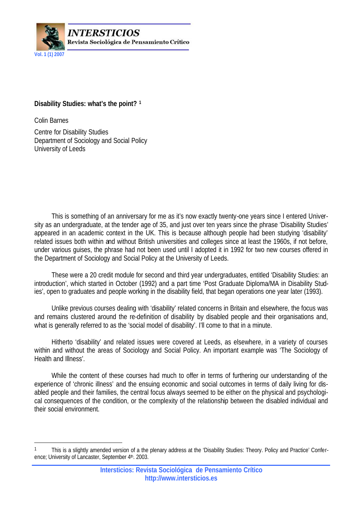

# **Disability Studies: what's the point? <sup>1</sup>**

Colin Barnes

 $\overline{\phantom{a}}$ 

Centre for Disability Studies Department of Sociology and Social Policy University of Leeds

This is something of an anniversary for me as it's now exactly twenty-one years since I entered University as an undergraduate, at the tender age of 35, and just over ten years since the phrase 'Disability Studies' appeared in an academic context in the UK. This is because although people had been studying 'disability' related issues both within and without British universities and colleges since at least the 1960s, if not before, under various guises, the phrase had not been used until I adopted it in 1992 for two new courses offered in the Department of Sociology and Social Policy at the University of Leeds.

These were a 20 credit module for second and third year undergraduates, entitled 'Disability Studies: an introduction', which started in October (1992) and a part time 'Post Graduate Diploma/MA in Disability Studies', open to graduates and people working in the disability field, that began operations one year later (1993).

Unlike previous courses dealing with 'disability' related concerns in Britain and elsewhere, the focus was and remains clustered around the re-definition of disability by disabled people and their organisations and, what is generally referred to as the 'social model of disability'. I'll come to that in a minute.

Hitherto 'disability' and related issues were covered at Leeds, as elsewhere, in a variety of courses within and without the areas of Sociology and Social Policy. An important example was 'The Sociology of Health and Illness'.

While the content of these courses had much to offer in terms of furthering our understanding of the experience of 'chronic illness' and the ensuing economic and social outcomes in terms of daily living for disabled people and their families, the central focus always seemed to be either on the physical and psychological consequences of the condition, or the complexity of the relationship between the disabled individual and their social environment.

<sup>1</sup> This is a slightly amended version of a the plenary address at the 'Disability Studies: Theory. Policy and Practice' Conference; University of Lancaster, September 4th. 2003.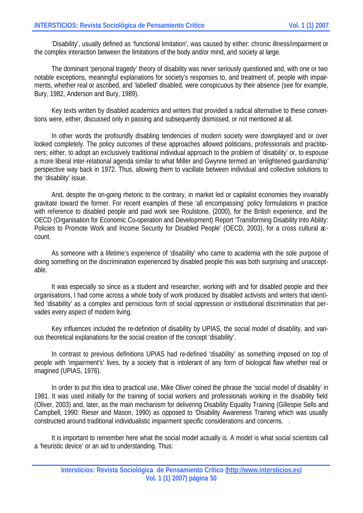'Disability', usually defined as 'functional limitation', was caused by either: chronic illness/impairment or the complex interaction between the limitations of the body and/or mind, and society at large.

The dominant 'personal tragedy' theory of disability was never seriously questioned and, with one or two notable exceptions, meaningful explanations for society's responses to, and treatment of, people with impairments, whether real or ascribed, and 'labelled' disabled, were conspicuous by their absence (see for example, Bury, 1982, Anderson and Bury, 1989).

Key texts written by disabled academics and writers that provided a radical alternative to these conventions were, either, discussed only in passing and subsequently dismissed, or not mentioned at all.

In other words the profoundly disabling tendencies of modern society were downplayed and or over looked completely. The policy outcomes of these approaches allowed politicians, professionals and practitioners; either, to adopt an exclusively traditional individual approach to the problem of 'disability' or, to espouse a more liberal inter-relational agenda similar to what Miller and Gwynne termed an 'enlightened guardianship' perspective way back in 1972. Thus, allowing them to vacillate between individual and collective solutions to the 'disability' issue.

And, despite the on-going rhetoric to the contrary, in market led or capitalist economies they invariably gravitate toward the former. For recent examples of these 'all encompassing' policy formulations in practice with reference to disabled people and paid work see Roulstone, (2000), for the British experience, and the OECD (Organisation for Economic Co-operation and Development) Report 'Transforming Disability Into Ability: Policies to Promote Work and Income Security for Disabled People' (OECD, 2003), for a cross cultural  $\alpha$ count.

As someone with a lifetime's experience of 'disability' who came to academia with the sole purpose of doing something on the discrimination experienced by disabled people this was both surprising and unacceptable.

It was especially so since as a student and researcher, working with and for disabled people and their organisations, I had come across a whole body of work produced by disabled activists and writers that identified 'disability' as a complex and pernicious form of social oppression or institutional discrimination that pervades every aspect of modern living.

Key influences included the re-definition of disability by UPIAS, the social model of disability, and various theoretical explanations for the social creation of the concept 'disability'.

In contrast to previous definitions UPIAS had re-defined 'disability' as something imposed on top of people with 'impairment's' lives, by a society that is intolerant of any form of biological flaw whether real or imagined (UPIAS, 1976).

In order to put this idea to practical use, Mike Oliver coined the phrase the 'social model of disability' in 1981. It was used initially for the training of social workers and professionals working in the disability field (Oliver, 2003) and, later, as the main mechanism for delivering Disability Equality Training (Gillespie Sells and Campbell, 1990: Rieser and Mason, 1990) as opposed to 'Disability Awareness Training which was usually constructed around traditional individualistic impairment specific considerations and concerns. .

It is important to remember here what the social model actually is. A model is what social scientists call a 'heuristic device' or an aid to understanding. Thus: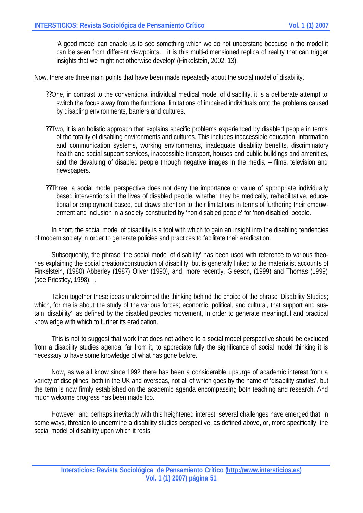'A good model can enable us to see something which we do not understand because in the model it can be seen from different viewpoints… it is this multi-dimensioned replica of reality that can trigger insights that we might not otherwise develop' (Finkelstein, 2002: 13).

Now, there are three main points that have been made repeatedly about the social model of disability.

- ??One, in contrast to the conventional individual medical model of disability, it is a deliberate attempt to switch the focus away from the functional limitations of impaired individuals onto the problems caused by disabling environments, barriers and cultures.
- ??Two, it is an holistic approach that explains specific problems experienced by disabled people in terms of the totality of disabling environments and cultures. This includes inaccessible education, information and communication systems, working environments, inadequate disability benefits, discriminatory health and social support services, inaccessible transport, houses and public buildings and amenities, and the devaluing of disabled people through negative images in the media – films, television and newspapers.
- ??Three, a social model perspective does not deny the importance or value of appropriate individually based interventions in the lives of disabled people, whether they be medically, re/habilitative, educational or employment based, but draws attention to their limitations in terms of furthering their empowerment and inclusion in a society constructed by 'non-disabled people' for 'non-disabled' people.

In short, the social model of disability is a tool with which to gain an insight into the disabling tendencies of modern society in order to generate policies and practices to facilitate their eradication.

Subsequently, the phrase 'the social model of disability' has been used with reference to various theories explaining the social creation/construction of disability, but is generally linked to the materialist accounts of Finkelstein, (1980) Abberley (1987) Oliver (1990), and, more recently, Gleeson, (1999) and Thomas (1999) (see Priestley, 1998). .

Taken together these ideas underpinned the thinking behind the choice of the phrase 'Disability Studies; which, for me is about the study of the various forces; economic, political, and cultural, that support and sustain 'disability', as defined by the disabled peoples movement, in order to generate meaningful and practical knowledge with which to further its eradication.

This is not to suggest that work that does not adhere to a social model perspective should be excluded from a disability studies agenda: far from it, to appreciate fully the significance of social model thinking it is necessary to have some knowledge of what has gone before.

Now, as we all know since 1992 there has been a considerable upsurge of academic interest from a variety of disciplines, both in the UK and overseas, not all of which goes by the name of 'disability studies', but the term is now firmly established on the academic agenda encompassing both teaching and research. And much welcome progress has been made too.

However, and perhaps inevitably with this heightened interest, several challenges have emerged that, in some ways, threaten to undermine a disability studies perspective, as defined above, or, more specifically, the social model of disability upon which it rests.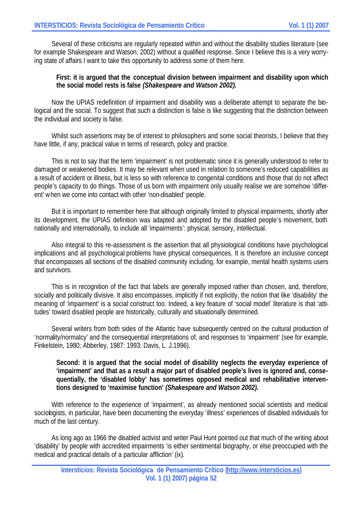Several of these criticisms are regularly repeated within and without the disability studies literature (see for example Shakespeare and Watson, 2002) without a qualified response. Since I believe this is a very worrying state of affairs I want to take this opportunity to address some of them here.

### **First: it is argued that the conceptual division between impairment and disability upon which the social model rests is false** *(Shakespeare and Watson 2002).*

Now the UPIAS redefinition of impairment and disability was a deliberate attempt to separate the biological and the social. To suggest that such a distinction is false is like suggesting that the distinction between the individual and society is false.

Whilst such assertions may be of interest to philosophers and some social theorists, I believe that they have little, if any, practical value in terms of research, policy and practice.

This is not to say that the term 'impairment' is not problematic since it is generally understood to refer to damaged or weakened bodies. It may be relevant when used in relation to someone's reduced capabilities as a result of accident or illness, but is less so with reference to congenital conditions and those that do not affect people's capacity to do things. Those of us born with impairment only usually realise we are somehow 'different' when we come into contact with other 'non-disabled' people.

But it is important to remember here that although originally limited to physical impairments, shortly after its development, the UPIAS definition was adapted and adopted by the disabled people's movement, both nationally and internationally, to include all 'impairments': physical, sensory, intellectual.

Also integral to this re-assessment is the assertion that all physiological conditions have psychological implications and all psychological problems have physical consequences. It is therefore an inclusive concept that encompasses all sections of the disabled community including, for example, mental health systems users and survivors.

This is in recognition of the fact that labels are generally imposed rather than chosen, and, therefore, socially and politically divisive. It also encompasses, implicitly if not explicitly, the notion that like 'disability' the meaning of 'impairment' is a social construct too. Indeed, a key feature of 'social model' literature is that 'attitudes' toward disabled people are historically, culturally and situationally determined.

Several writers from both sides of the Atlantic have subsequently centred on the cultural production of 'normality/normalcy' and the consequential interpretations of, and responses to 'impairment' (see for example, Finkelstein, 1980; Abberley, 1987: 1993: Davis, L. J.1996).

#### **Second: it is argued that the social model of disability neglects the everyday experience of 'impairment' and that as a result a major part of disabled people's lives is ignored and, consequentially, the 'disabled lobby' has sometimes opposed medical and rehabilitative interventions designed to 'maximise function'** *(Shakespeare and Watson 2002).*

With reference to the experience of 'impairment', as already mentioned social scientists and medical sociologists, in particular, have been documenting the everyday 'illness' experiences of disabled individuals for much of the last century.

As long ago as 1966 the disabled activist and writer Paul Hunt pointed out that much of the writing about 'disability' by people with accredited impairments 'is either sentimental biography, or else preoccupied with the medical and practical details of a particular affliction' (ix).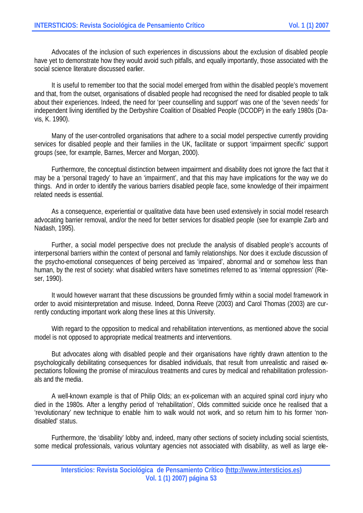Advocates of the inclusion of such experiences in discussions about the exclusion of disabled people have yet to demonstrate how they would avoid such pitfalls, and equally importantly, those associated with the social science literature discussed earlier.

It is useful to remember too that the social model emerged from within the disabled people's movement and that, from the outset, organisations of disabled people had recognised the need for disabled people to talk about their experiences. Indeed, the need for 'peer counselling and support' was one of the 'seven needs' for independent living identified by the Derbyshire Coalition of Disabled People (DCODP) in the early 1980s (Davis, K. 1990).

Many of the user-controlled organisations that adhere to a social model perspective currently providing services for disabled people and their families in the UK, facilitate or support 'impairment specific' support groups (see, for example, Barnes, Mercer and Morgan, 2000).

Furthermore, the conceptual distinction between impairment and disability does not ignore the fact that it may be a 'personal tragedy' to have an 'impairment', and that this may have implications for the way we do things. And in order to identify the various barriers disabled people face, some knowledge of their impairment related needs is essential.

As a consequence, experiential or qualitative data have been used extensively in social model research advocating barrier removal, and/or the need for better services for disabled people (see for example Zarb and Nadash, 1995).

Further, a social model perspective does not preclude the analysis of disabled people's accounts of interpersonal barriers within the context of personal and family relationships. Nor does it exclude discussion of the psycho-emotional consequences of being perceived as 'impaired', abnormal and or somehow less than human, by the rest of society: what disabled writers have sometimes referred to as 'internal oppression' (Rieser, 1990).

It would however warrant that these discussions be grounded firmly within a social model framework in order to avoid misinterpretation and misuse. Indeed, Donna Reeve (2003) and Carol Thomas (2003) are currently conducting important work along these lines at this University.

With regard to the opposition to medical and rehabilitation interventions, as mentioned above the social model is not opposed to appropriate medical treatments and interventions.

But advocates along with disabled people and their organisations have rightly drawn attention to the psychologically debilitating consequences for disabled individuals, that result from unrealistic and raised expectations following the promise of miraculous treatments and cures by medical and rehabilitation professionals and the media.

A well-known example is that of Philip Olds; an ex-policeman with an acquired spinal cord injury who died in the 1980s. After a lengthy period of 'rehabilitation', Olds committed suicide once he realised that a 'revolutionary' new technique to enable him to walk would not work, and so return him to his former 'nondisabled' status.

Furthermore, the 'disability' lobby and, indeed, many other sections of society including social scientists, some medical professionals, various voluntary agencies not associated with disability, as well as large ele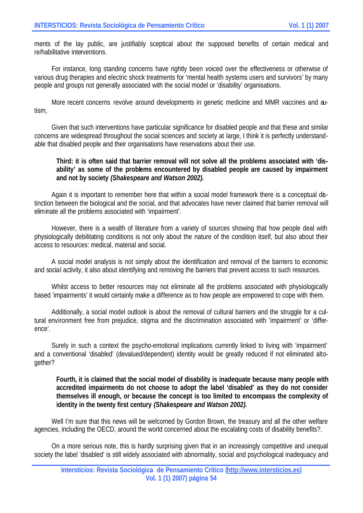ments of the lay public, are justifiably sceptical about the supposed benefits of certain medical and re/habilitative interventions.

For instance, long standing concerns have rightly been voiced over the effectiveness or otherwise of various drug therapies and electric shock treatments for 'mental health systems users and survivors' by many people and groups not generally associated with the social model or 'disability' organisations.

More recent concerns revolve around developments in genetic medicine and MMR vaccines and autism,

Given that such interventions have particular significance for disabled people and that these and similar concerns are widespread throughout the social sciences and society at large, I think it is perfectly understandable that disabled people and their organisations have reservations about their use.

### **Third: it is often said that barrier removal will not solve all the problems associated with 'disability' as some of the problems encountered by disabled people are caused by impairment and not by society** *(Shakespeare and Watson 2002).*

Again it is important to remember here that within a social model framework there is a conceptual distinction between the biological and the social, and that advocates have never claimed that barrier removal will eliminate all the problems associated with 'impairment'.

However, there is a wealth of literature from a variety of sources showing that how people deal with physiologically debilitating conditions is not only about the nature of the condition itself, but also about their access to resources: medical, material and social.

A social model analysis is not simply about the identification and removal of the barriers to economic and social activity, it also about identifying and removing the barriers that prevent access to such resources.

Whilst access to better resources may not eliminate all the problems associated with physiologically based 'impairments' it would certainly make a difference as to how people are empowered to cope with them.

Additionally, a social model outlook is about the removal of cultural barriers and the struggle for a cultural environment free from prejudice, stigma and the discrimination associated with 'impairment' or 'difference'.

Surely in such a context the psycho-emotional implications currently linked to living with 'impairment' and a conventional 'disabled' (devalued/dependent) identity would be greatly reduced if not eliminated altogether?

### **Fourth, it is claimed that the social model of disability is inadequate because many people with accredited impairments do not choose to adopt the label 'disabled' as they do not consider themselves ill enough, or because the concept is too limited to encompass the complexity of identity in the twenty first century** *(Shakespeare and Watson 2002).*

Well I'm sure that this news will be welcomed by Gordon Brown, the treasury and all the other welfare agencies, including the OECD, around the world concerned about the escalating costs of disability benefits?.

On a more serious note, this is hardly surprising given that in an increasingly competitive and unequal society the label 'disabled' is still widely associated with abnormality, social and psychological inadequacy and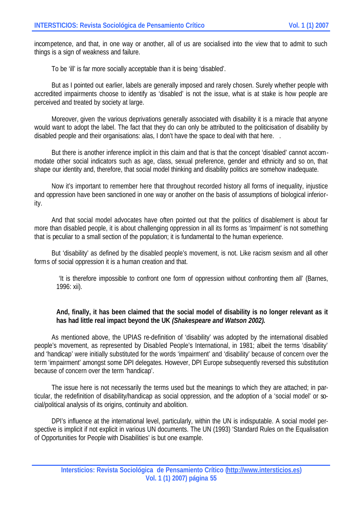incompetence, and that, in one way or another, all of us are socialised into the view that to admit to such things is a sign of weakness and failure.

To be 'ill' is far more socially acceptable than it is being 'disabled'.

But as I pointed out earlier, labels are generally imposed and rarely chosen. Surely whether people with accredited impairments choose to identify as 'disabled' is not the issue, what is at stake is how people are perceived and treated by society at large.

Moreover, given the various deprivations generally associated with disability it is a miracle that anyone would want to adopt the label. The fact that they do can only be attributed to the politicisation of disability by disabled people and their organisations: alas, I don't have the space to deal with that here.

But there is another inference implicit in this claim and that is that the concept 'disabled' cannot accommodate other social indicators such as age, class, sexual preference, gender and ethnicity and so on, that shape our identity and, therefore, that social model thinking and disability politics are somehow inadequate.

Now it's important to remember here that throughout recorded history all forms of inequality, injustice and oppression have been sanctioned in one way or another on the basis of assumptions of biological inferiority.

And that social model advocates have often pointed out that the politics of disablement is about far more than disabled people, it is about challenging oppression in all its forms as 'Impairment' is not something that is peculiar to a small section of the population; it is fundamental to the human experience.

But 'disability' as defined by the disabled people's movement, is not. Like racism sexism and all other forms of social oppression it is a human creation and that.

 'It is therefore impossible to confront one form of oppression without confronting them all' (Barnes, 1996: xii).

## **And, finally, it has been claimed that the social model of disability is no longer relevant as it has had little real impact beyond the UK** *(Shakespeare and Watson 2002).*

As mentioned above, the UPIAS re-definition of 'disability' was adopted by the international disabled people's movement, as represented by Disabled People's International, in 1981; albeit the terms 'disability' and 'handicap' were initially substituted for the words 'impairment' and 'disability' because of concern over the term 'impairment' amongst some DPI delegates. However, DPI Europe subsequently reversed this substitution because of concern over the term 'handicap'.

The issue here is not necessarily the terms used but the meanings to which they are attached; in particular, the redefinition of disability/handicap as social oppression, and the adoption of a 'social model' or social/political analysis of its origins, continuity and abolition.

DPI's influence at the international level, particularly, within the UN is indisputable. A social model perspective is implicit if not explicit in various UN documents. The UN (1993) 'Standard Rules on the Equalisation of Opportunities for People with Disabilities' is but one example.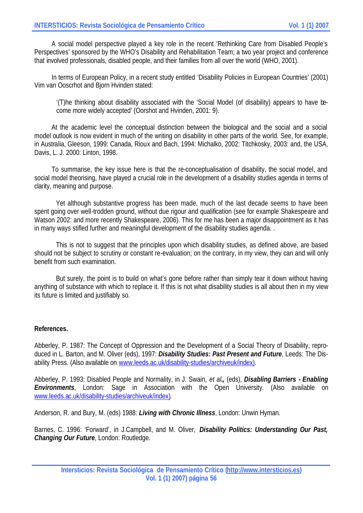A social model perspective played a key role in the recent 'Rethinking Care from Disabled People's Perspectives' sponsored by the WHO's Disability and Rehabilitation Team; a two year project and conference that involved professionals, disabled people, and their families from all over the world (WHO, 2001).

In terms of European Policy, in a recent study entitled 'Disability Policies in European Countries' (2001) Vim van Ooscrhot and Bjorn Hvinden stated:

'(T)he thinking about disability associated with the 'Social Model (of disability) appears to have become more widely accepted' (Oorshot and Hvinden, 2001: 9).

At the academic level the conceptual distinction between the biological and the social and a social model outlook is now evident in much of the writing on disability in other parts of the world. See, for example, in Australia, Gleeson, 1999: Canada, Rioux and Bach, 1994: Michalko, 2002: Titchkosky, 2003: and, the USA, Davis, L. J. 2000: Linton, 1998.

To summarise, the key issue here is that the re-conceptualisation of disability, the social model, and social model theorising, have played a crucial role in the development of a disability studies agenda in terms of clarity, meaning and purpose.

Yet although substantive progress has been made, much of the last decade seems to have been spent going over well-trodden ground, without due rigour and qualification (see for example Shakespeare and Watson 2002: and more recently Shakespeare, 2006). This for me has been a major disappointment as it has in many ways stifled further and meaningful development of the disability studies agenda. .

This is not to suggest that the principles upon which disability studies, as defined above, are based should not be subject to scrutiny or constant re-evaluation; on the contrary, in my view, they can and will only benefit from such examination.

But surely, the point is to build on what's gone before rather than simply tear it down without having anything of substance with which to replace it. If this is not what disability studies is all about then in my view its future is limited and justifiably so.

## **References.**

Abberley, P. 1987: The Concept of Oppression and the Development of a Social Theory of Disability, reproduced in L. Barton, and M. Oliver (eds), 1997: *Disability Studies: Past Present and Future*, Leeds: The Disability Press. (Also available on www.leeds.ac.uk/disability-studies/archiveuk/index).

Abberley, P. 1993: Disabled People and Normality, in J. Swain, *et al.,* (eds), *Disabling Barriers - Enabling Environments*, London: Sage in Association with the Open University. (Also available on www.leeds.ac.uk/disability-studies/archiveuk/index).

Anderson, R. and Bury, M. (eds) 1988: *Living with Chronic Illness*, London: Unwin Hyman.

Barnes, C. 1996: 'Forward', in J.Campbell, and M. Oliver, *Disability Politics: Understanding Our Past, Changing Our Future*, London: Routledge.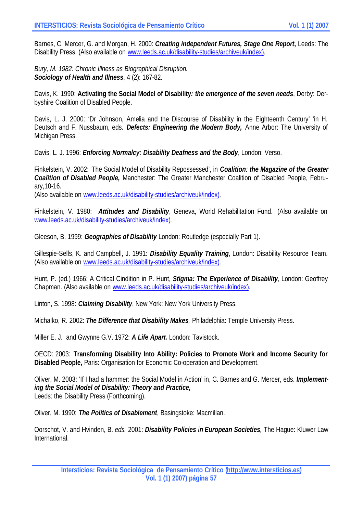Barnes, C. Mercer, G. and Morgan, H. 2000: *Creating independent Futures, Stage One Report***,** Leeds: The Disability Press. (Also available on www.leeds.ac.uk/disability-studies/archiveuk/index).

*Bury, M. 1982: Chronic Illness as Biographical Disruption. Sociology of Health and Illness*, 4 (2): 167-82.

Davis, K. 1990: **Activating the Social Model of Disability***: the emergence of the seven needs*, Derby: Derbyshire Coalition of Disabled People.

Davis, L. J. 2000: 'Dr Johnson, Amelia and the Discourse of Disability in the Eighteenth Century' 'in H. Deutsch and F. Nussbaum, eds. *Defects: Engineering the Modern Body,* Anne Arbor: The University of Michigan Press.

Davis, L. J. 1996: *Enforcing Normalcy: Disability Deafness and the Body*, London: Verso.

Finkelstein, V. 2002: 'The Social Model of Disability Repossessed', in *Coalition: the Magazine of the Greater Coalition of Disabled People,* Manchester: The Greater Manchester Coalition of Disabled People, February,10-16.

(Also available on www.leeds.ac.uk/disability-studies/archiveuk/index).

Finkelstein, V. 1980: *Attitudes and Disability*, Geneva, World Rehabilitation Fund. (Also available on www.leeds.ac.uk/disability-studies/archiveuk/index).

Gleeson, B. 1999: *Geographies of Disability* London: Routledge (especially Part 1).

Gillespie-Sells, K. and Campbell, J. 1991: *Disability Equality Training*, London: Disability Resource Team. (Also available on www.leeds.ac.uk/disability-studies/archiveuk/index).

Hunt, P. (ed.) 1966: A Critical Cindition in P. Hunt, *Stigma: The Experience of Disability*, London: Geoffrey Chapman. (Also available on www.leeds.ac.uk/disability-studies/archiveuk/index).

Linton, S. 1998: *Claiming Disability*, New York: New York University Press.

Michalko, R. 2002: *The Difference that Disability Makes,* Philadelphia: Temple University Press.

Miller E. J. and Gwynne G.V. 1972: *A Life Apart.* London: Tavistock.

OECD: 2003: **Transforming Disability Into Ability: Policies to Promote Work and Income Security for Disabled People,** Paris: Organisation for Economic Co-operation and Development.

Oliver, M. 2003: 'If I had a hammer: the Social Model in Action' in, C. Barnes and G. Mercer, eds. *Implementing the Social Model of Disability: Theory and Practice,*  Leeds: the Disability Press (Forthcoming).

Oliver, M. 1990: *The Politics of Disablement*, Basingstoke: Macmillan.

Oorschot, V. and Hvinden, B. *eds.* 2001: *Disability Policies in European Societies,* The Hague: Kluwer Law International.